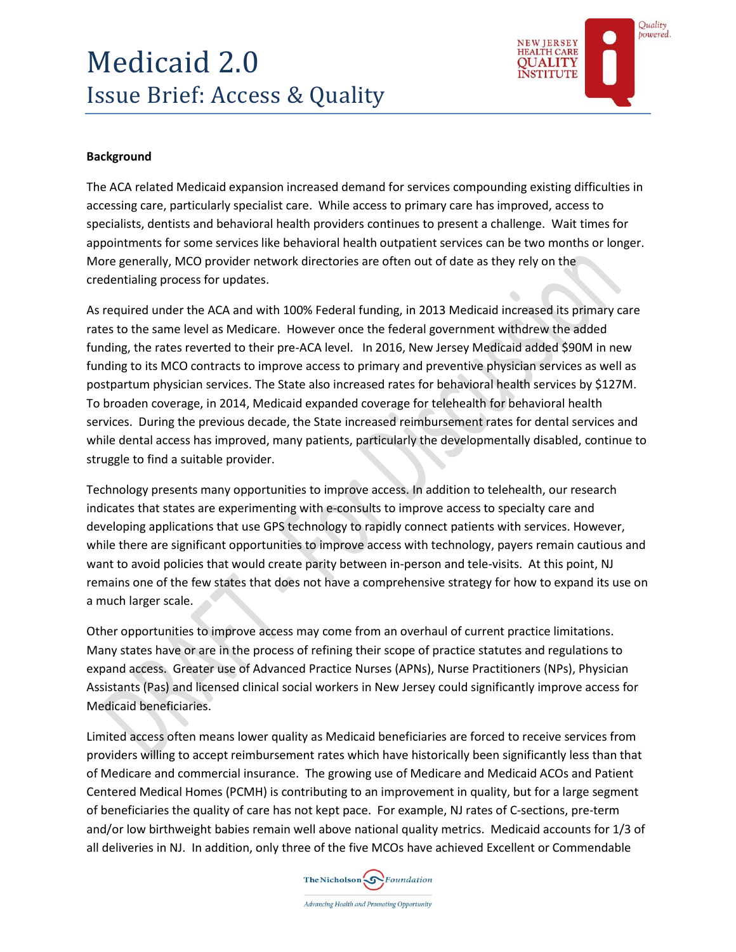# Medicaid 2.0 Issue Brief: Access & Quality



 $\curvearrowright$ 

## **Background**

The ACA related Medicaid expansion increased demand for services compounding existing difficulties in accessing care, particularly specialist care. While access to primary care has improved, access to specialists, dentists and behavioral health providers continues to present a challenge. Wait times for appointments for some services like behavioral health outpatient services can be two months or longer. More generally, MCO provider network directories are often out of date as they rely on the credentialing process for updates.

As required under the ACA and with 100% Federal funding, in 2013 Medicaid increased its primary care rates to the same level as Medicare. However once the federal government withdrew the added funding, the rates reverted to their pre-ACA level. In 2016, New Jersey Medicaid added \$90M in new funding to its MCO contracts to improve access to primary and preventive physician services as well as postpartum physician services. The State also increased rates for behavioral health services by \$127M. To broaden coverage, in 2014, Medicaid expanded coverage for telehealth for behavioral health services. During the previous decade, the State increased reimbursement rates for dental services and while dental access has improved, many patients, particularly the developmentally disabled, continue to struggle to find a suitable provider.

Technology presents many opportunities to improve access. In addition to telehealth, our research indicates that states are experimenting with e-consults to improve access to specialty care and developing applications that use GPS technology to rapidly connect patients with services. However, while there are significant opportunities to improve access with technology, payers remain cautious and want to avoid policies that would create parity between in-person and tele-visits. At this point, NJ remains one of the few states that does not have a comprehensive strategy for how to expand its use on a much larger scale.

Other opportunities to improve access may come from an overhaul of current practice limitations. Many states have or are in the process of refining their scope of practice statutes and regulations to expand access. Greater use of Advanced Practice Nurses (APNs), Nurse Practitioners (NPs), Physician Assistants (Pas) and licensed clinical social workers in New Jersey could significantly improve access for Medicaid beneficiaries.

Limited access often means lower quality as Medicaid beneficiaries are forced to receive services from providers willing to accept reimbursement rates which have historically been significantly less than that of Medicare and commercial insurance. The growing use of Medicare and Medicaid ACOs and Patient Centered Medical Homes (PCMH) is contributing to an improvement in quality, but for a large segment of beneficiaries the quality of care has not kept pace. For example, NJ rates of C-sections, pre-term and/or low birthweight babies remain well above national quality metrics. Medicaid accounts for 1/3 of all deliveries in NJ. In addition, only three of the five MCOs have achieved Excellent or Commendable

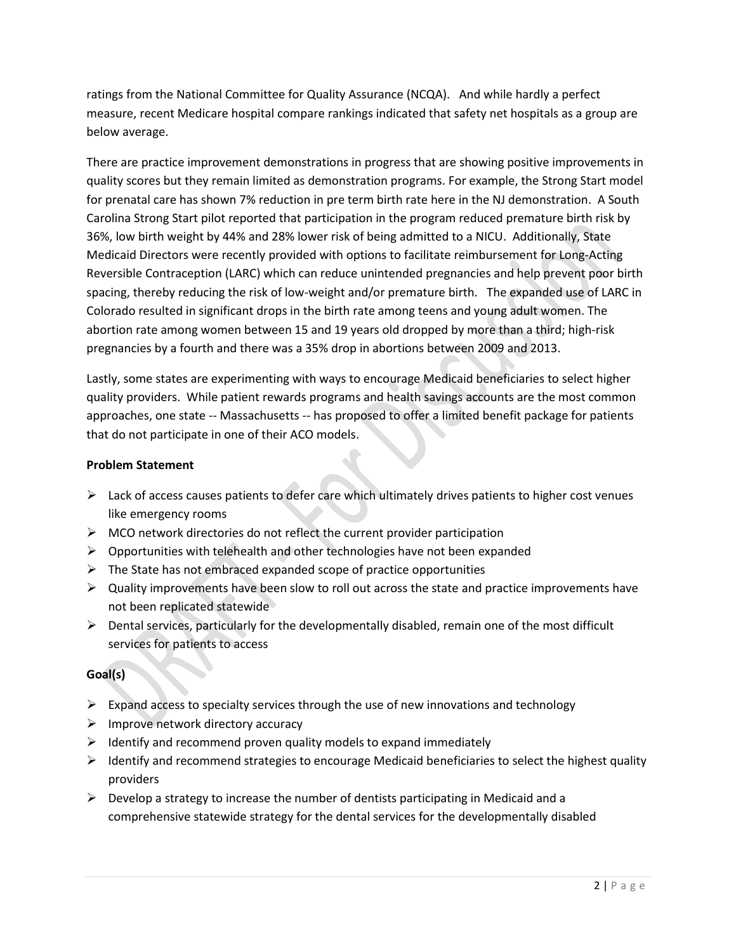ratings from the National Committee for Quality Assurance (NCQA). And while hardly a perfect measure, recent Medicare hospital compare rankings indicated that safety net hospitals as a group are below average.

There are practice improvement demonstrations in progress that are showing positive improvements in quality scores but they remain limited as demonstration programs. For example, the Strong Start model for prenatal care has shown 7% reduction in pre term birth rate here in the NJ demonstration. A South Carolina Strong Start pilot reported that participation in the program reduced premature birth risk by 36%, low birth weight by 44% and 28% lower risk of being admitted to a NICU. Additionally, State Medicaid Directors were recently provided with options to facilitate reimbursement for Long-Acting Reversible Contraception (LARC) which can reduce unintended pregnancies and help prevent poor birth spacing, thereby reducing the risk of low-weight and/or premature birth. The expanded use of LARC in Colorado resulted in significant drops in the birth rate among teens and young adult women. The abortion rate among women between 15 and 19 years old dropped by more than a third; high-risk pregnancies by a fourth and there was a 35% drop in abortions between 2009 and 2013.

Lastly, some states are experimenting with ways to encourage Medicaid beneficiaries to select higher quality providers. While patient rewards programs and health savings accounts are the most common approaches, one state -- Massachusetts -- has proposed to offer a limited benefit package for patients that do not participate in one of their ACO models.

# **Problem Statement**

- $\triangleright$  Lack of access causes patients to defer care which ultimately drives patients to higher cost venues like emergency rooms
- $\triangleright$  MCO network directories do not reflect the current provider participation
- $\triangleright$  Opportunities with telehealth and other technologies have not been expanded
- $\triangleright$  The State has not embraced expanded scope of practice opportunities
- $\triangleright$  Quality improvements have been slow to roll out across the state and practice improvements have not been replicated statewide
- $\triangleright$  Dental services, particularly for the developmentally disabled, remain one of the most difficult services for patients to access

# **Goal(s)**

- $\triangleright$  Expand access to specialty services through the use of new innovations and technology
- $\triangleright$  Improve network directory accuracy
- $\triangleright$  Identify and recommend proven quality models to expand immediately
- $\triangleright$  Identify and recommend strategies to encourage Medicaid beneficiaries to select the highest quality providers
- $\triangleright$  Develop a strategy to increase the number of dentists participating in Medicaid and a comprehensive statewide strategy for the dental services for the developmentally disabled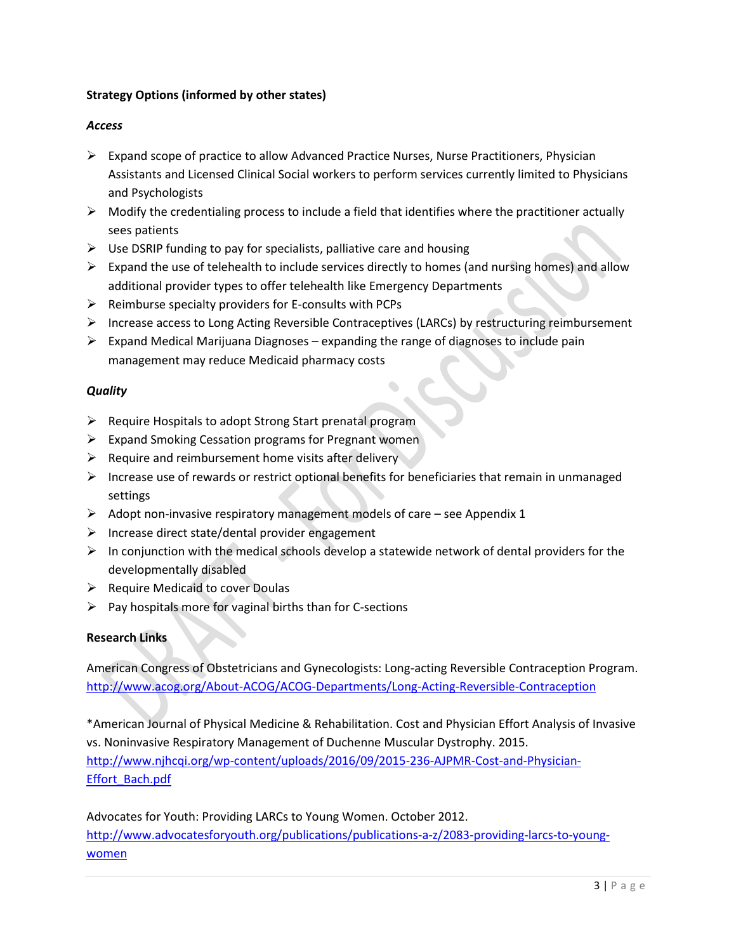# **Strategy Options (informed by other states)**

#### *Access*

- $\triangleright$  Expand scope of practice to allow Advanced Practice Nurses, Nurse Practitioners, Physician Assistants and Licensed Clinical Social workers to perform services currently limited to Physicians and Psychologists
- $\triangleright$  Modify the credentialing process to include a field that identifies where the practitioner actually sees patients
- $\triangleright$  Use DSRIP funding to pay for specialists, palliative care and housing
- $\triangleright$  Expand the use of telehealth to include services directly to homes (and nursing homes) and allow additional provider types to offer telehealth like Emergency Departments
- $\triangleright$  Reimburse specialty providers for E-consults with PCPs
- $\triangleright$  Increase access to Long Acting Reversible Contraceptives (LARCs) by restructuring reimbursement
- $\triangleright$  Expand Medical Marijuana Diagnoses expanding the range of diagnoses to include pain management may reduce Medicaid pharmacy costs

# *Quality*

- $\triangleright$  Require Hospitals to adopt Strong Start prenatal program
- $\triangleright$  Expand Smoking Cessation programs for Pregnant women
- $\triangleright$  Require and reimbursement home visits after delivery
- $\triangleright$  Increase use of rewards or restrict optional benefits for beneficiaries that remain in unmanaged settings
- $\triangleright$  Adopt non-invasive respiratory management models of care see Appendix 1
- $\triangleright$  Increase direct state/dental provider engagement
- $\triangleright$  In conjunction with the medical schools develop a statewide network of dental providers for the developmentally disabled
- $\triangleright$  Require Medicaid to cover Doulas
- $\triangleright$  Pay hospitals more for vaginal births than for C-sections

#### **Research Links**

American Congress of Obstetricians and Gynecologists: Long-acting Reversible Contraception Program. <http://www.acog.org/About-ACOG/ACOG-Departments/Long-Acting-Reversible-Contraception>

\*American Journal of Physical Medicine & Rehabilitation. Cost and Physician Effort Analysis of Invasive vs. Noninvasive Respiratory Management of Duchenne Muscular Dystrophy. 2015. [http://www.njhcqi.org/wp-content/uploads/2016/09/2015-236-AJPMR-Cost-and-Physician-](http://www.njhcqi.org/wp-content/uploads/2016/09/2015-236-AJPMR-Cost-and-Physician-Effort_Bach.pdf)[Effort\\_Bach.pdf](http://www.njhcqi.org/wp-content/uploads/2016/09/2015-236-AJPMR-Cost-and-Physician-Effort_Bach.pdf)

Advocates for Youth: Providing LARCs to Young Women. October 2012. [http://www.advocatesforyouth.org/publications/publications-a-z/2083-providing-larcs-to-young](http://www.advocatesforyouth.org/publications/publications-a-z/2083-providing-larcs-to-young-women)[women](http://www.advocatesforyouth.org/publications/publications-a-z/2083-providing-larcs-to-young-women)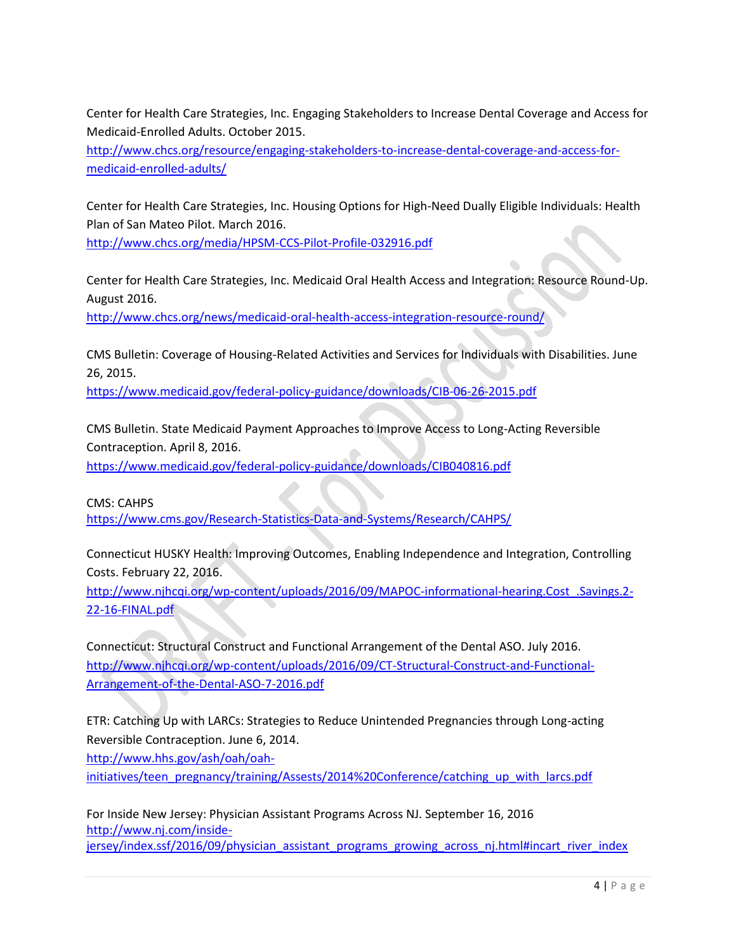Center for Health Care Strategies, Inc. Engaging Stakeholders to Increase Dental Coverage and Access for Medicaid-Enrolled Adults. October 2015.

[http://www.chcs.org/resource/engaging-stakeholders-to-increase-dental-coverage-and-access-for](http://www.chcs.org/resource/engaging-stakeholders-to-increase-dental-coverage-and-access-for-medicaid-enrolled-adults/)[medicaid-enrolled-adults/](http://www.chcs.org/resource/engaging-stakeholders-to-increase-dental-coverage-and-access-for-medicaid-enrolled-adults/)

Center for Health Care Strategies, Inc. Housing Options for High-Need Dually Eligible Individuals: Health Plan of San Mateo Pilot. March 2016.

<http://www.chcs.org/media/HPSM-CCS-Pilot-Profile-032916.pdf>

Center for Health Care Strategies, Inc. Medicaid Oral Health Access and Integration: Resource Round-Up. August 2016.

<http://www.chcs.org/news/medicaid-oral-health-access-integration-resource-round/>

CMS Bulletin: Coverage of Housing-Related Activities and Services for Individuals with Disabilities. June 26, 2015.

<https://www.medicaid.gov/federal-policy-guidance/downloads/CIB-06-26-2015.pdf>

CMS Bulletin. State Medicaid Payment Approaches to Improve Access to Long-Acting Reversible Contraception. April 8, 2016.

<https://www.medicaid.gov/federal-policy-guidance/downloads/CIB040816.pdf>

CMS: CAHPS

<https://www.cms.gov/Research-Statistics-Data-and-Systems/Research/CAHPS/>

Connecticut HUSKY Health: Improving Outcomes, Enabling Independence and Integration, Controlling Costs. February 22, 2016.

[http://www.njhcqi.org/wp-content/uploads/2016/09/MAPOC-informational-hearing.Cost\\_.Savings.2-](http://www.njhcqi.org/wp-content/uploads/2016/09/MAPOC-informational-hearing.Cost_.Savings.2-22-16-FINAL.pdf) [22-16-FINAL.pdf](http://www.njhcqi.org/wp-content/uploads/2016/09/MAPOC-informational-hearing.Cost_.Savings.2-22-16-FINAL.pdf)

Connecticut: Structural Construct and Functional Arrangement of the Dental ASO. July 2016. [http://www.njhcqi.org/wp-content/uploads/2016/09/CT-Structural-Construct-and-Functional-](http://www.njhcqi.org/wp-content/uploads/2016/09/CT-Structural-Construct-and-Functional-Arrangement-of-the-Dental-ASO-7-2016.pdf)[Arrangement-of-the-Dental-ASO-7-2016.pdf](http://www.njhcqi.org/wp-content/uploads/2016/09/CT-Structural-Construct-and-Functional-Arrangement-of-the-Dental-ASO-7-2016.pdf)

ETR: Catching Up with LARCs: Strategies to Reduce Unintended Pregnancies through Long-acting Reversible Contraception. June 6, 2014.

[http://www.hhs.gov/ash/oah/oah-](http://www.hhs.gov/ash/oah/oah-initiatives/teen_pregnancy/training/Assests/2014%20Conference/catching_up_with_larcs.pdf)

[initiatives/teen\\_pregnancy/training/Assests/2014%20Conference/catching\\_up\\_with\\_larcs.pdf](http://www.hhs.gov/ash/oah/oah-initiatives/teen_pregnancy/training/Assests/2014%20Conference/catching_up_with_larcs.pdf)

For Inside New Jersey: Physician Assistant Programs Across NJ. September 16, 2016 [http://www.nj.com/inside](http://www.nj.com/inside-jersey/index.ssf/2016/09/physician_assistant_programs_growing_across_nj.html#incart_river_index)[jersey/index.ssf/2016/09/physician\\_assistant\\_programs\\_growing\\_across\\_nj.html#incart\\_river\\_index](http://www.nj.com/inside-jersey/index.ssf/2016/09/physician_assistant_programs_growing_across_nj.html#incart_river_index)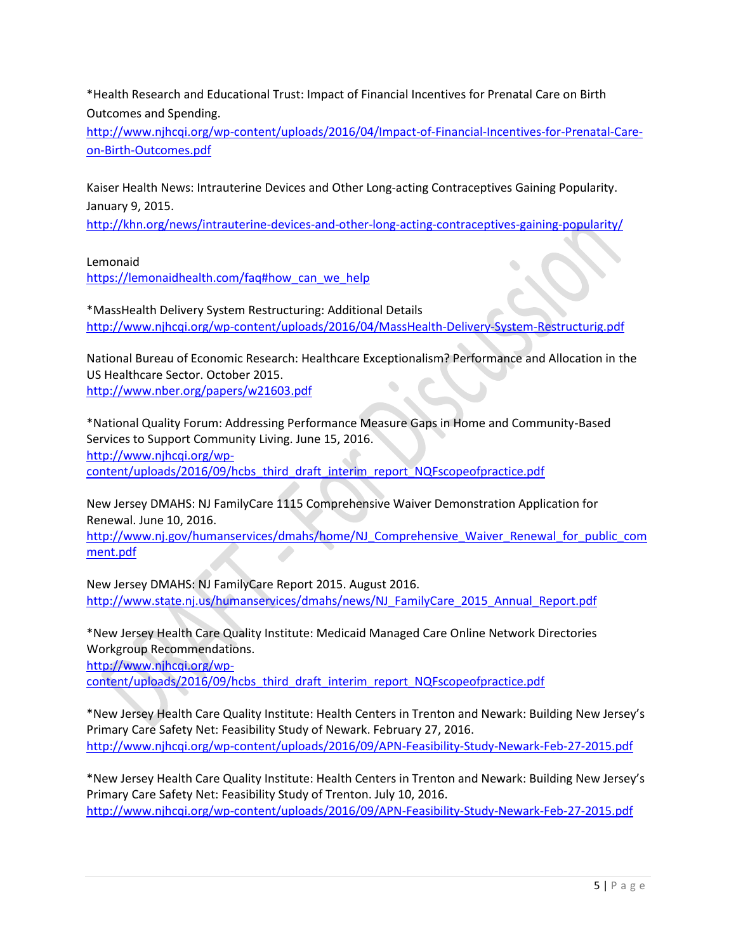\*Health Research and Educational Trust: Impact of Financial Incentives for Prenatal Care on Birth Outcomes and Spending.

[http://www.njhcqi.org/wp-content/uploads/2016/04/Impact-of-Financial-Incentives-for-Prenatal-Care](http://www.njhcqi.org/wp-content/uploads/2016/04/Impact-of-Financial-Incentives-for-Prenatal-Care-on-Birth-Outcomes.pdf)[on-Birth-Outcomes.pdf](http://www.njhcqi.org/wp-content/uploads/2016/04/Impact-of-Financial-Incentives-for-Prenatal-Care-on-Birth-Outcomes.pdf)

Kaiser Health News: Intrauterine Devices and Other Long-acting Contraceptives Gaining Popularity. January 9, 2015.

<http://khn.org/news/intrauterine-devices-and-other-long-acting-contraceptives-gaining-popularity/>

Lemonaid

[https://lemonaidhealth.com/faq#how\\_can\\_we\\_help](https://lemonaidhealth.com/faq#how_can_we_help)

\*MassHealth Delivery System Restructuring: Additional Details <http://www.njhcqi.org/wp-content/uploads/2016/04/MassHealth-Delivery-System-Restructurig.pdf>

National Bureau of Economic Research: Healthcare Exceptionalism? Performance and Allocation in the US Healthcare Sector. October 2015. <http://www.nber.org/papers/w21603.pdf>

\*National Quality Forum: Addressing Performance Measure Gaps in Home and Community-Based Services to Support Community Living. June 15, 2016. [http://www.njhcqi.org/wp](http://www.njhcqi.org/wp-content/uploads/2016/09/hcbs_third_draft_interim_report_NQFscopeofpractice.pdf)[content/uploads/2016/09/hcbs\\_third\\_draft\\_interim\\_report\\_NQFscopeofpractice.pdf](http://www.njhcqi.org/wp-content/uploads/2016/09/hcbs_third_draft_interim_report_NQFscopeofpractice.pdf)

New Jersey DMAHS: NJ FamilyCare 1115 Comprehensive Waiver Demonstration Application for Renewal. June 10, 2016.

[http://www.nj.gov/humanservices/dmahs/home/NJ\\_Comprehensive\\_Waiver\\_Renewal\\_for\\_public\\_com](http://www.nj.gov/humanservices/dmahs/home/NJ_Comprehensive_Waiver_Renewal_for_public_comment.pdf) [ment.pdf](http://www.nj.gov/humanservices/dmahs/home/NJ_Comprehensive_Waiver_Renewal_for_public_comment.pdf)

New Jersey DMAHS: NJ FamilyCare Report 2015. August 2016. [http://www.state.nj.us/humanservices/dmahs/news/NJ\\_FamilyCare\\_2015\\_Annual\\_Report.pdf](http://www.state.nj.us/humanservices/dmahs/news/NJ_FamilyCare_2015_Annual_Report.pdf)

\*New Jersey Health Care Quality Institute: Medicaid Managed Care Online Network Directories Workgroup Recommendations. [http://www.njhcqi.org/wp](http://www.njhcqi.org/wp-content/uploads/2016/09/hcbs_third_draft_interim_report_NQFscopeofpractice.pdf)[content/uploads/2016/09/hcbs\\_third\\_draft\\_interim\\_report\\_NQFscopeofpractice.pdf](http://www.njhcqi.org/wp-content/uploads/2016/09/hcbs_third_draft_interim_report_NQFscopeofpractice.pdf)

\*New Jersey Health Care Quality Institute: Health Centers in Trenton and Newark: Building New Jersey's Primary Care Safety Net: Feasibility Study of Newark. February 27, 2016. <http://www.njhcqi.org/wp-content/uploads/2016/09/APN-Feasibility-Study-Newark-Feb-27-2015.pdf>

\*New Jersey Health Care Quality Institute: Health Centers in Trenton and Newark: Building New Jersey's Primary Care Safety Net: Feasibility Study of Trenton. July 10, 2016. <http://www.njhcqi.org/wp-content/uploads/2016/09/APN-Feasibility-Study-Newark-Feb-27-2015.pdf>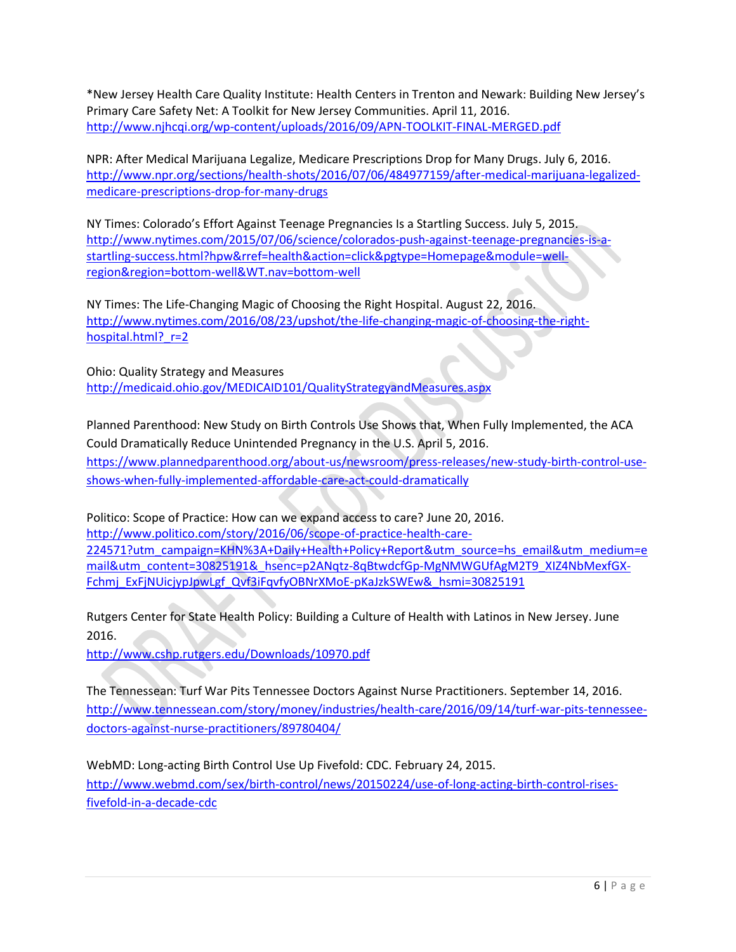\*New Jersey Health Care Quality Institute: Health Centers in Trenton and Newark: Building New Jersey's Primary Care Safety Net: A Toolkit for New Jersey Communities. April 11, 2016. <http://www.njhcqi.org/wp-content/uploads/2016/09/APN-TOOLKIT-FINAL-MERGED.pdf>

NPR: After Medical Marijuana Legalize, Medicare Prescriptions Drop for Many Drugs. July 6, 2016. [http://www.npr.org/sections/health-shots/2016/07/06/484977159/after-medical-marijuana-legalized](http://www.npr.org/sections/health-shots/2016/07/06/484977159/after-medical-marijuana-legalized-medicare-prescriptions-drop-for-many-drugs)[medicare-prescriptions-drop-for-many-drugs](http://www.npr.org/sections/health-shots/2016/07/06/484977159/after-medical-marijuana-legalized-medicare-prescriptions-drop-for-many-drugs)

NY Times: Colorado's Effort Against Teenage Pregnancies Is a Startling Success. July 5, 2015. [http://www.nytimes.com/2015/07/06/science/colorados-push-against-teenage-pregnancies-is-a](http://www.nytimes.com/2015/07/06/science/colorados-push-against-teenage-pregnancies-is-a-startling-success.html?hpw&rref=health&action=click&pgtype=Homepage&module=well-region®ion=bottom-well&WT.nav=bottom-well)[startling-success.html?hpw&rref=health&action=click&pgtype=Homepage&module=well](http://www.nytimes.com/2015/07/06/science/colorados-push-against-teenage-pregnancies-is-a-startling-success.html?hpw&rref=health&action=click&pgtype=Homepage&module=well-region®ion=bottom-well&WT.nav=bottom-well)[region&region=bottom-well&WT.nav=bottom-well](http://www.nytimes.com/2015/07/06/science/colorados-push-against-teenage-pregnancies-is-a-startling-success.html?hpw&rref=health&action=click&pgtype=Homepage&module=well-region®ion=bottom-well&WT.nav=bottom-well)

NY Times: The Life-Changing Magic of Choosing the Right Hospital. August 22, 2016. [http://www.nytimes.com/2016/08/23/upshot/the-life-changing-magic-of-choosing-the-right](http://www.nytimes.com/2016/08/23/upshot/the-life-changing-magic-of-choosing-the-right-hospital.html?_r=2)hospital.html? r=2

Ohio: Quality Strategy and Measures <http://medicaid.ohio.gov/MEDICAID101/QualityStrategyandMeasures.aspx>

Planned Parenthood: New Study on Birth Controls Use Shows that, When Fully Implemented, the ACA Could Dramatically Reduce Unintended Pregnancy in the U.S. April 5, 2016. [https://www.plannedparenthood.org/about-us/newsroom/press-releases/new-study-birth-control-use](https://www.plannedparenthood.org/about-us/newsroom/press-releases/new-study-birth-control-use-shows-when-fully-implemented-affordable-care-act-could-dramatically)[shows-when-fully-implemented-affordable-care-act-could-dramatically](https://www.plannedparenthood.org/about-us/newsroom/press-releases/new-study-birth-control-use-shows-when-fully-implemented-affordable-care-act-could-dramatically)

Politico: Scope of Practice: How can we expand access to care? June 20, 2016. [http://www.politico.com/story/2016/06/scope-of-practice-health-care-](http://www.politico.com/story/2016/06/scope-of-practice-health-care-224571?utm_campaign=KHN%3A+Daily+Health+Policy+Report&utm_source=hs_email&utm_medium=email&utm_content=30825191&_hsenc=p2ANqtz-8qBtwdcfGp-MgNMWGUfAgM2T9_XIZ4NbMexfGX-Fchmj_ExFjNUicjypJpwLgf_Qvf3iFqvfyOBNrXMoE-pKaJzkSWEw&_hsmi=30825191)[224571?utm\\_campaign=KHN%3A+Daily+Health+Policy+Report&utm\\_source=hs\\_email&utm\\_medium=e](http://www.politico.com/story/2016/06/scope-of-practice-health-care-224571?utm_campaign=KHN%3A+Daily+Health+Policy+Report&utm_source=hs_email&utm_medium=email&utm_content=30825191&_hsenc=p2ANqtz-8qBtwdcfGp-MgNMWGUfAgM2T9_XIZ4NbMexfGX-Fchmj_ExFjNUicjypJpwLgf_Qvf3iFqvfyOBNrXMoE-pKaJzkSWEw&_hsmi=30825191) [mail&utm\\_content=30825191&\\_hsenc=p2ANqtz-8qBtwdcfGp-MgNMWGUfAgM2T9\\_XIZ4NbMexfGX-](http://www.politico.com/story/2016/06/scope-of-practice-health-care-224571?utm_campaign=KHN%3A+Daily+Health+Policy+Report&utm_source=hs_email&utm_medium=email&utm_content=30825191&_hsenc=p2ANqtz-8qBtwdcfGp-MgNMWGUfAgM2T9_XIZ4NbMexfGX-Fchmj_ExFjNUicjypJpwLgf_Qvf3iFqvfyOBNrXMoE-pKaJzkSWEw&_hsmi=30825191)[Fchmj\\_ExFjNUicjypJpwLgf\\_Qvf3iFqvfyOBNrXMoE-pKaJzkSWEw&\\_hsmi=30825191](http://www.politico.com/story/2016/06/scope-of-practice-health-care-224571?utm_campaign=KHN%3A+Daily+Health+Policy+Report&utm_source=hs_email&utm_medium=email&utm_content=30825191&_hsenc=p2ANqtz-8qBtwdcfGp-MgNMWGUfAgM2T9_XIZ4NbMexfGX-Fchmj_ExFjNUicjypJpwLgf_Qvf3iFqvfyOBNrXMoE-pKaJzkSWEw&_hsmi=30825191)

Rutgers Center for State Health Policy: Building a Culture of Health with Latinos in New Jersey. June 2016.

<http://www.cshp.rutgers.edu/Downloads/10970.pdf>

The Tennessean: Turf War Pits Tennessee Doctors Against Nurse Practitioners. September 14, 2016. [http://www.tennessean.com/story/money/industries/health-care/2016/09/14/turf-war-pits-tennessee](http://www.tennessean.com/story/money/industries/health-care/2016/09/14/turf-war-pits-tennessee-doctors-against-nurse-practitioners/89780404/)[doctors-against-nurse-practitioners/89780404/](http://www.tennessean.com/story/money/industries/health-care/2016/09/14/turf-war-pits-tennessee-doctors-against-nurse-practitioners/89780404/)

WebMD: Long-acting Birth Control Use Up Fivefold: CDC. February 24, 2015. [http://www.webmd.com/sex/birth-control/news/20150224/use-of-long-acting-birth-control-rises](http://www.webmd.com/sex/birth-control/news/20150224/use-of-long-acting-birth-control-rises-fivefold-in-a-decade-cdc)[fivefold-in-a-decade-cdc](http://www.webmd.com/sex/birth-control/news/20150224/use-of-long-acting-birth-control-rises-fivefold-in-a-decade-cdc)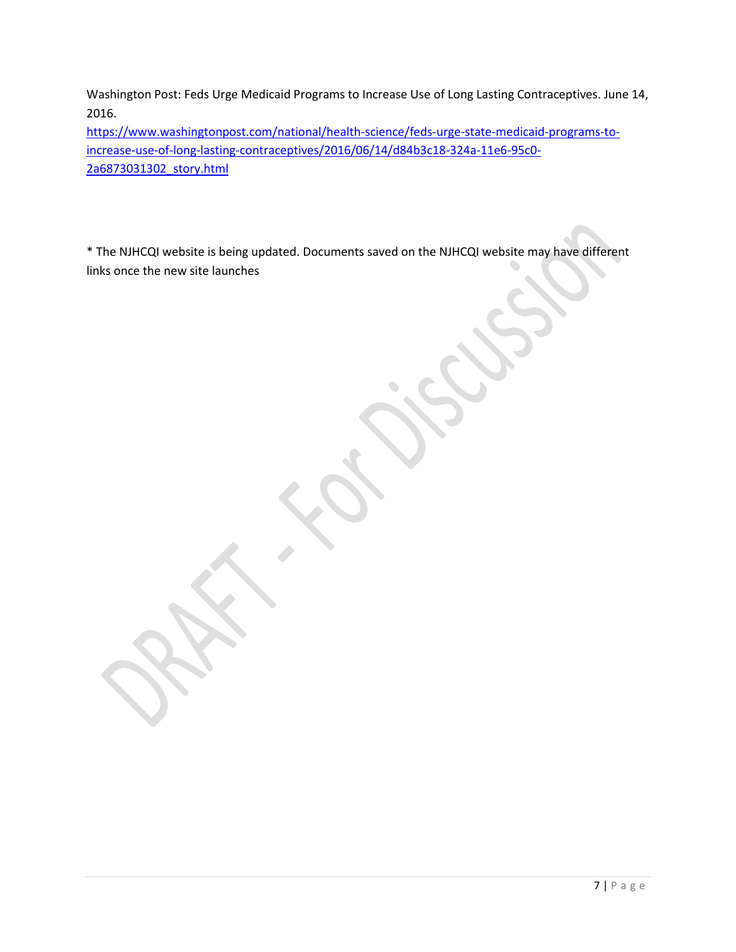Washington Post: Feds Urge Medicaid Programs to Increase Use of Long Lasting Contraceptives. June 14, 2016.

[https://www.washingtonpost.com/national/health-science/feds-urge-state-medicaid-programs-to](https://www.washingtonpost.com/national/health-science/feds-urge-state-medicaid-programs-to-increase-use-of-long-lasting-contraceptives/2016/06/14/d84b3c18-324a-11e6-95c0-2a6873031302_story.html)[increase-use-of-long-lasting-contraceptives/2016/06/14/d84b3c18-324a-11e6-95c0-](https://www.washingtonpost.com/national/health-science/feds-urge-state-medicaid-programs-to-increase-use-of-long-lasting-contraceptives/2016/06/14/d84b3c18-324a-11e6-95c0-2a6873031302_story.html) [2a6873031302\\_story.html](https://www.washingtonpost.com/national/health-science/feds-urge-state-medicaid-programs-to-increase-use-of-long-lasting-contraceptives/2016/06/14/d84b3c18-324a-11e6-95c0-2a6873031302_story.html)

\* The NJHCQI website is being updated. Documents saved on the NJHCQI website may have different links once the new site launches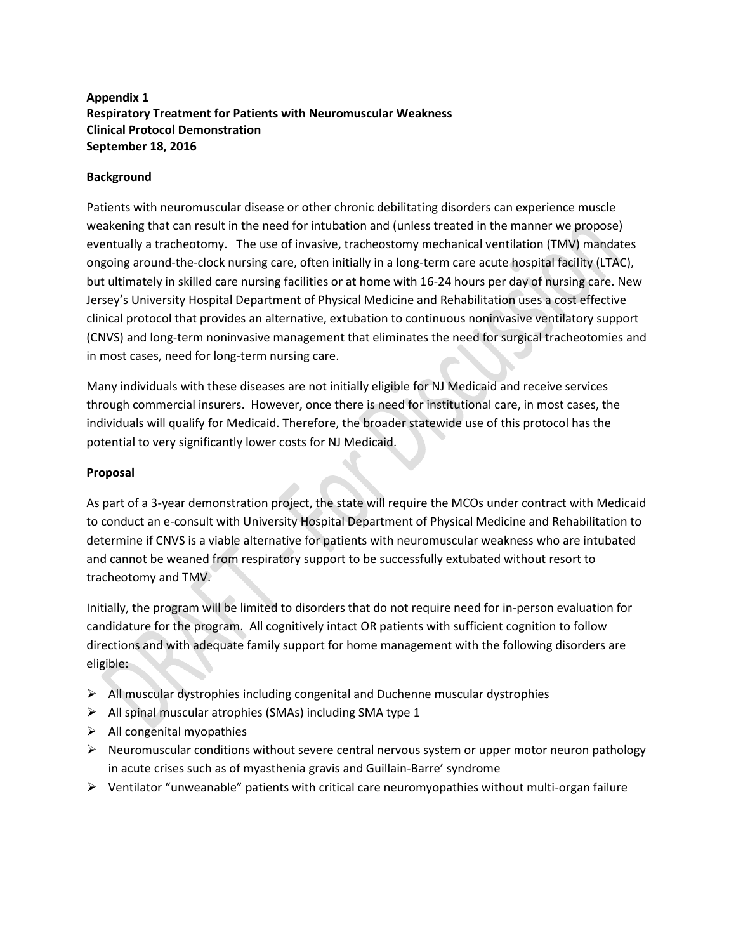# **Appendix 1 Respiratory Treatment for Patients with Neuromuscular Weakness Clinical Protocol Demonstration September 18, 2016**

## **Background**

Patients with neuromuscular disease or other chronic debilitating disorders can experience muscle weakening that can result in the need for intubation and (unless treated in the manner we propose) eventually a tracheotomy. The use of invasive, tracheostomy mechanical ventilation (TMV) mandates ongoing around-the-clock nursing care, often initially in a long-term care acute hospital facility (LTAC), but ultimately in skilled care nursing facilities or at home with 16-24 hours per day of nursing care. New Jersey's University Hospital Department of Physical Medicine and Rehabilitation uses a cost effective clinical protocol that provides an alternative, extubation to continuous noninvasive ventilatory support (CNVS) and long-term noninvasive management that eliminates the need for surgical tracheotomies and in most cases, need for long-term nursing care.

Many individuals with these diseases are not initially eligible for NJ Medicaid and receive services through commercial insurers. However, once there is need for institutional care, in most cases, the individuals will qualify for Medicaid. Therefore, the broader statewide use of this protocol has the potential to very significantly lower costs for NJ Medicaid.

# **Proposal**

As part of a 3-year demonstration project, the state will require the MCOs under contract with Medicaid to conduct an e-consult with University Hospital Department of Physical Medicine and Rehabilitation to determine if CNVS is a viable alternative for patients with neuromuscular weakness who are intubated and cannot be weaned from respiratory support to be successfully extubated without resort to tracheotomy and TMV.

Initially, the program will be limited to disorders that do not require need for in-person evaluation for candidature for the program. All cognitively intact OR patients with sufficient cognition to follow directions and with adequate family support for home management with the following disorders are eligible:

- $\triangleright$  All muscular dystrophies including congenital and Duchenne muscular dystrophies
- $\triangleright$  All spinal muscular atrophies (SMAs) including SMA type 1
- $\triangleright$  All congenital myopathies
- $\triangleright$  Neuromuscular conditions without severe central nervous system or upper motor neuron pathology in acute crises such as of myasthenia gravis and Guillain-Barre' syndrome
- $\triangleright$  Ventilator "unweanable" patients with critical care neuromyopathies without multi-organ failure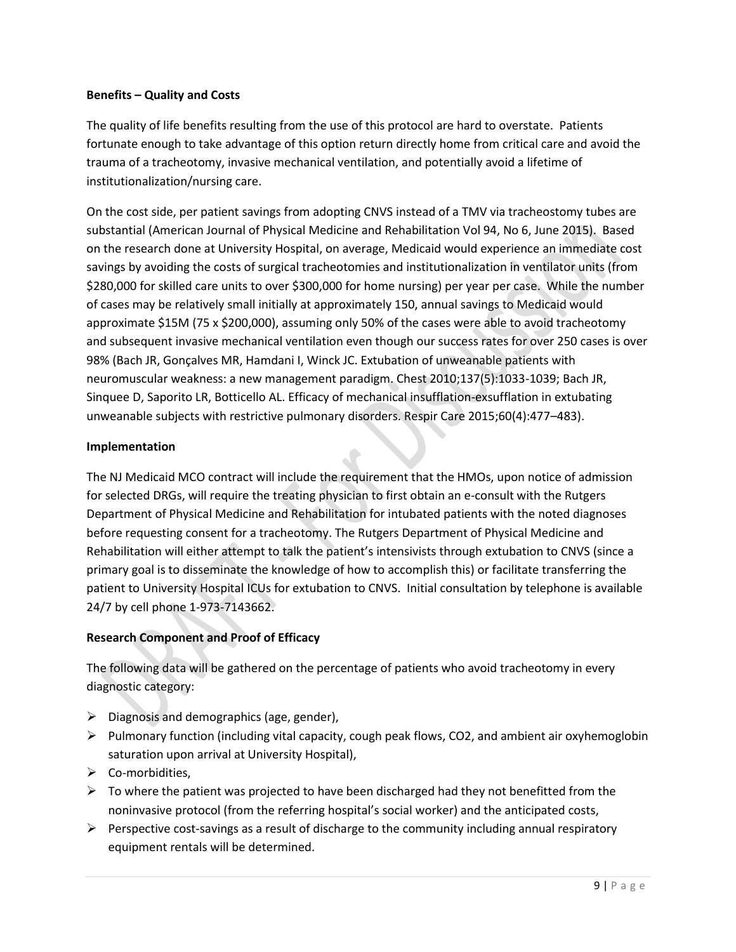# **Benefits – Quality and Costs**

The quality of life benefits resulting from the use of this protocol are hard to overstate. Patients fortunate enough to take advantage of this option return directly home from critical care and avoid the trauma of a tracheotomy, invasive mechanical ventilation, and potentially avoid a lifetime of institutionalization/nursing care.

On the cost side, per patient savings from adopting CNVS instead of a TMV via tracheostomy tubes are substantial (American Journal of Physical Medicine and Rehabilitation Vol 94, No 6, June 2015). Based on the research done at University Hospital, on average, Medicaid would experience an immediate cost savings by avoiding the costs of surgical tracheotomies and institutionalization in ventilator units (from \$280,000 for skilled care units to over \$300,000 for home nursing) per year per case. While the number of cases may be relatively small initially at approximately 150, annual savings to Medicaid would approximate \$15M (75 x \$200,000), assuming only 50% of the cases were able to avoid tracheotomy and subsequent invasive mechanical ventilation even though our success rates for over 250 cases is over 98% (Bach JR, Gonçalves MR, Hamdani I, Winck JC. Extubation of unweanable patients with neuromuscular weakness: a new management paradigm. Chest 2010;137(5):1033-1039; Bach JR, Sinquee D, Saporito LR, Botticello AL. Efficacy of mechanical insufflation-exsufflation in extubating unweanable subjects with restrictive pulmonary disorders. Respir Care 2015;60(4):477–483).

# **Implementation**

The NJ Medicaid MCO contract will include the requirement that the HMOs, upon notice of admission for selected DRGs, will require the treating physician to first obtain an e-consult with the Rutgers Department of Physical Medicine and Rehabilitation for intubated patients with the noted diagnoses before requesting consent for a tracheotomy. The Rutgers Department of Physical Medicine and Rehabilitation will either attempt to talk the patient's intensivists through extubation to CNVS (since a primary goal is to disseminate the knowledge of how to accomplish this) or facilitate transferring the patient to University Hospital ICUs for extubation to CNVS. Initial consultation by telephone is available 24/7 by cell phone 1-973-7143662.

# **Research Component and Proof of Efficacy**

The following data will be gathered on the percentage of patients who avoid tracheotomy in every diagnostic category:

- $\triangleright$  Diagnosis and demographics (age, gender),
- $\triangleright$  Pulmonary function (including vital capacity, cough peak flows, CO2, and ambient air oxyhemoglobin saturation upon arrival at University Hospital),
- ▶ Co-morbidities,
- $\triangleright$  To where the patient was projected to have been discharged had they not benefitted from the noninvasive protocol (from the referring hospital's social worker) and the anticipated costs,
- $\triangleright$  Perspective cost-savings as a result of discharge to the community including annual respiratory equipment rentals will be determined.